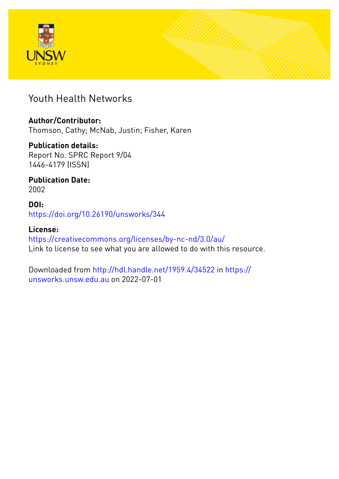



## Youth Health Networks

## **Author/Contributor:**

Thomson, Cathy; McNab, Justin; Fisher, Karen

## **Publication details:**

Report No. SPRC Report 9/04 1446-4179 (ISSN)

## **Publication Date:** 2002

## **DOI:** [https://doi.org/10.26190/unsworks/344](http://dx.doi.org/https://doi.org/10.26190/unsworks/344)

## **License:** <https://creativecommons.org/licenses/by-nc-nd/3.0/au/> Link to license to see what you are allowed to do with this resource.

Downloaded from <http://hdl.handle.net/1959.4/34522> in [https://](https://unsworks.unsw.edu.au) [unsworks.unsw.edu.au](https://unsworks.unsw.edu.au) on 2022-07-01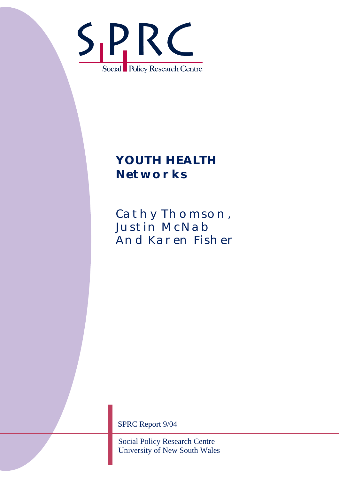

# *YOUTH HEALTH Networks*

CATHY THOMSON, **JUSTIN MCNAB** And Karen Fisher

SPRC Report 9/04

Social Policy Research Centre University of New South Wales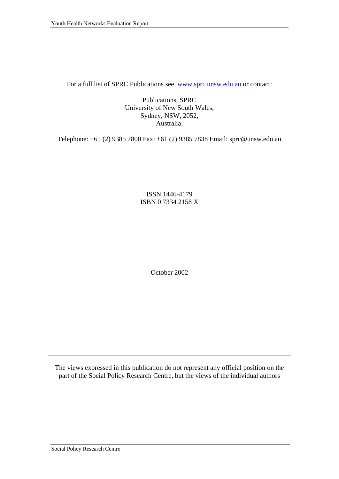For a full list of SPRC Publications see, www.sprc.unsw.edu.au or contact:

Publications, SPRC University of New South Wales, Sydney, NSW, 2052, Australia.

Telephone: +61 (2) 9385 7800 Fax: +61 (2) 9385 7838 Email: sprc@unsw.edu.au

ISSN 1446-4179 ISBN 0 7334 2158 X

October 2002

The views expressed in this publication do not represent any official position on the part of the Social Policy Research Centre, but the views of the individual authors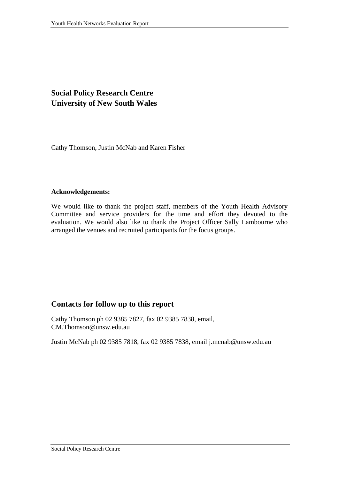## **Social Policy Research Centre University of New South Wales**

Cathy Thomson, Justin McNab and Karen Fisher

#### **Acknowledgements:**

We would like to thank the project staff, members of the Youth Health Advisory Committee and service providers for the time and effort they devoted to the evaluation. We would also like to thank the Project Officer Sally Lambourne who arranged the venues and recruited participants for the focus groups.

#### **Contacts for follow up to this report**

Cathy Thomson ph 02 9385 7827, fax 02 9385 7838, email, CM.Thomson@unsw.edu.au

Justin McNab ph 02 9385 7818, fax 02 9385 7838, email j.mcnab@unsw.edu.au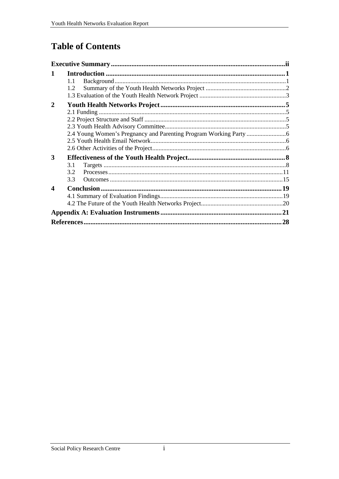## **Table of Contents**

| 1                     | 1.1<br>1.2       |     |
|-----------------------|------------------|-----|
| $\mathbf{2}$          |                  |     |
| 3                     | 3.1<br>32<br>3.3 |     |
| $\boldsymbol{\Delta}$ |                  |     |
|                       |                  | .28 |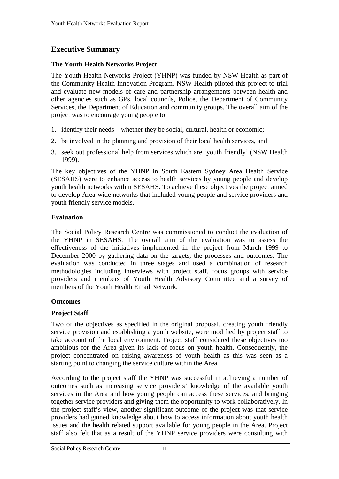## <span id="page-5-0"></span>**Executive Summary**

#### **The Youth Health Networks Project**

The Youth Health Networks Project (YHNP) was funded by NSW Health as part of the Community Health Innovation Program. NSW Health piloted this project to trial and evaluate new models of care and partnership arrangements between health and other agencies such as GPs, local councils, Police, the Department of Community Services, the Department of Education and community groups. The overall aim of the project was to encourage young people to:

- 1. identify their needs whether they be social, cultural, health or economic;
- 2. be involved in the planning and provision of their local health services, and
- 3. seek out professional help from services which are 'youth friendly' (NSW Health 1999).

The key objectives of the YHNP in South Eastern Sydney Area Health Service (SESAHS) were to enhance access to health services by young people and develop youth health networks within SESAHS. To achieve these objectives the project aimed to develop Area-wide networks that included young people and service providers and youth friendly service models.

#### **Evaluation**

The Social Policy Research Centre was commissioned to conduct the evaluation of the YHNP in SESAHS. The overall aim of the evaluation was to assess the effectiveness of the initiatives implemented in the project from March 1999 to December 2000 by gathering data on the targets, the processes and outcomes. The evaluation was conducted in three stages and used a combination of research methodologies including interviews with project staff, focus groups with service providers and members of Youth Health Advisory Committee and a survey of members of the Youth Health Email Network.

#### **Outcomes**

#### **Project Staff**

Two of the objectives as specified in the original proposal, creating youth friendly service provision and establishing a youth website, were modified by project staff to take account of the local environment. Project staff considered these objectives too ambitious for the Area given its lack of focus on youth health. Consequently, the project concentrated on raising awareness of youth health as this was seen as a starting point to changing the service culture within the Area.

According to the project staff the YHNP was successful in achieving a number of outcomes such as increasing service providers' knowledge of the available youth services in the Area and how young people can access these services, and bringing together service providers and giving them the opportunity to work collaboratively. In the project staff's view, another significant outcome of the project was that service providers had gained knowledge about how to access information about youth health issues and the health related support available for young people in the Area. Project staff also felt that as a result of the YHNP service providers were consulting with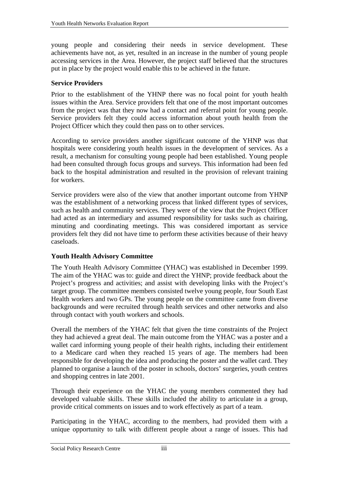young people and considering their needs in service development. These achievements have not, as yet, resulted in an increase in the number of young people accessing services in the Area. However, the project staff believed that the structures put in place by the project would enable this to be achieved in the future.

#### **Service Providers**

Prior to the establishment of the YHNP there was no focal point for youth health issues within the Area. Service providers felt that one of the most important outcomes from the project was that they now had a contact and referral point for young people. Service providers felt they could access information about youth health from the Project Officer which they could then pass on to other services.

According to service providers another significant outcome of the YHNP was that hospitals were considering youth health issues in the development of services. As a result, a mechanism for consulting young people had been established. Young people had been consulted through focus groups and surveys. This information had been fed back to the hospital administration and resulted in the provision of relevant training for workers.

Service providers were also of the view that another important outcome from YHNP was the establishment of a networking process that linked different types of services, such as health and community services. They were of the view that the Project Officer had acted as an intermediary and assumed responsibility for tasks such as chairing, minuting and coordinating meetings. This was considered important as service providers felt they did not have time to perform these activities because of their heavy caseloads.

#### **Youth Health Advisory Committee**

The Youth Health Advisory Committee (YHAC) was established in December 1999. The aim of the YHAC was to: guide and direct the YHNP; provide feedback about the Project's progress and activities; and assist with developing links with the Project's target group. The committee members consisted twelve young people, four South East Health workers and two GPs. The young people on the committee came from diverse backgrounds and were recruited through health services and other networks and also through contact with youth workers and schools.

Overall the members of the YHAC felt that given the time constraints of the Project they had achieved a great deal. The main outcome from the YHAC was a poster and a wallet card informing young people of their health rights, including their entitlement to a Medicare card when they reached 15 years of age. The members had been responsible for developing the idea and producing the poster and the wallet card. They planned to organise a launch of the poster in schools, doctors' surgeries, youth centres and shopping centres in late 2001.

Through their experience on the YHAC the young members commented they had developed valuable skills. These skills included the ability to articulate in a group, provide critical comments on issues and to work effectively as part of a team.

Participating in the YHAC, according to the members, had provided them with a unique opportunity to talk with different people about a range of issues. This had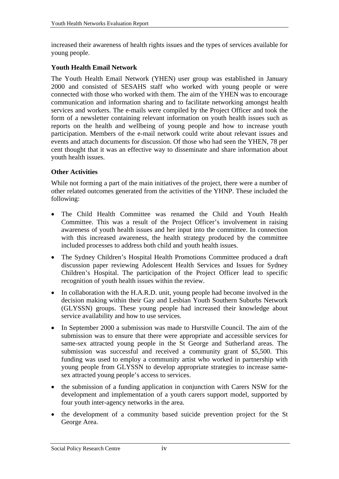increased their awareness of health rights issues and the types of services available for young people.

#### **Youth Health Email Network**

The Youth Health Email Network (YHEN) user group was established in January 2000 and consisted of SESAHS staff who worked with young people or were connected with those who worked with them. The aim of the YHEN was to encourage communication and information sharing and to facilitate networking amongst health services and workers. The e-mails were compiled by the Project Officer and took the form of a newsletter containing relevant information on youth health issues such as reports on the health and wellbeing of young people and how to increase youth participation. Members of the e-mail network could write about relevant issues and events and attach documents for discussion. Of those who had seen the YHEN, 78 per cent thought that it was an effective way to disseminate and share information about youth health issues.

#### **Other Activities**

While not forming a part of the main initiatives of the project, there were a number of other related outcomes generated from the activities of the YHNP. These included the following:

- The Child Health Committee was renamed the Child and Youth Health Committee. This was a result of the Project Officer's involvement in raising awareness of youth health issues and her input into the committee. In connection with this increased awareness, the health strategy produced by the committee included processes to address both child and youth health issues.
- The Sydney Children's Hospital Health Promotions Committee produced a draft discussion paper reviewing Adolescent Health Services and Issues for Sydney Children's Hospital. The participation of the Project Officer lead to specific recognition of youth health issues within the review.
- In collaboration with the H.A.R.D. unit, young people had become involved in the decision making within their Gay and Lesbian Youth Southern Suburbs Network (GLYSSN) groups. These young people had increased their knowledge about service availability and how to use services.
- In September 2000 a submission was made to Hurstville Council. The aim of the submission was to ensure that there were appropriate and accessible services for same-sex attracted young people in the St George and Sutherland areas. The submission was successful and received a community grant of \$5,500. This funding was used to employ a community artist who worked in partnership with young people from GLYSSN to develop appropriate strategies to increase samesex attracted young people's access to services.
- the submission of a funding application in conjunction with Carers NSW for the development and implementation of a youth carers support model, supported by four youth inter-agency networks in the area.
- the development of a community based suicide prevention project for the St George Area.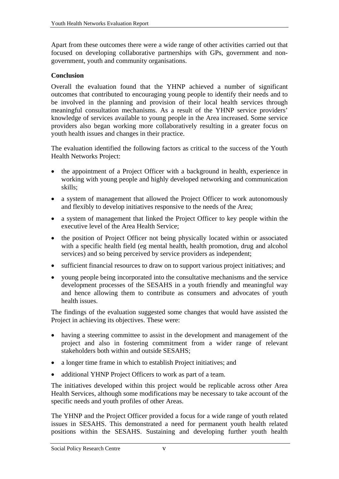Apart from these outcomes there were a wide range of other activities carried out that focused on developing collaborative partnerships with GPs, government and nongovernment, youth and community organisations.

#### **Conclusion**

Overall the evaluation found that the YHNP achieved a number of significant outcomes that contributed to encouraging young people to identify their needs and to be involved in the planning and provision of their local health services through meaningful consultation mechanisms. As a result of the YHNP service providers' knowledge of services available to young people in the Area increased. Some service providers also began working more collaboratively resulting in a greater focus on youth health issues and changes in their practice.

The evaluation identified the following factors as critical to the success of the Youth Health Networks Project:

- the appointment of a Project Officer with a background in health, experience in working with young people and highly developed networking and communication skills;
- a system of management that allowed the Project Officer to work autonomously and flexibly to develop initiatives responsive to the needs of the Area;
- a system of management that linked the Project Officer to key people within the executive level of the Area Health Service;
- the position of Project Officer not being physically located within or associated with a specific health field (eg mental health, health promotion, drug and alcohol services) and so being perceived by service providers as independent;
- sufficient financial resources to draw on to support various project initiatives; and
- young people being incorporated into the consultative mechanisms and the service development processes of the SESAHS in a youth friendly and meaningful way and hence allowing them to contribute as consumers and advocates of youth health issues.

The findings of the evaluation suggested some changes that would have assisted the Project in achieving its objectives. These were:

- having a steering committee to assist in the development and management of the project and also in fostering commitment from a wider range of relevant stakeholders both within and outside SESAHS;
- a longer time frame in which to establish Project initiatives; and
- additional YHNP Project Officers to work as part of a team.

The initiatives developed within this project would be replicable across other Area Health Services, although some modifications may be necessary to take account of the specific needs and youth profiles of other Areas.

The YHNP and the Project Officer provided a focus for a wide range of youth related issues in SESAHS. This demonstrated a need for permanent youth health related positions within the SESAHS. Sustaining and developing further youth health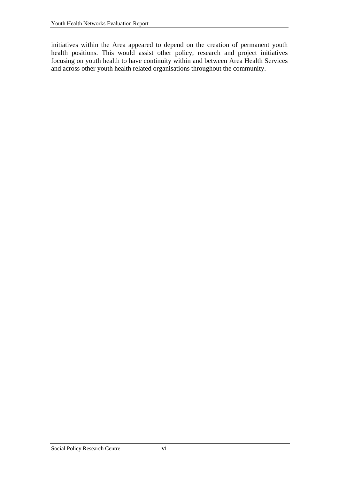initiatives within the Area appeared to depend on the creation of permanent youth health positions. This would assist other policy, research and project initiatives focusing on youth health to have continuity within and between Area Health Services and across other youth health related organisations throughout the community.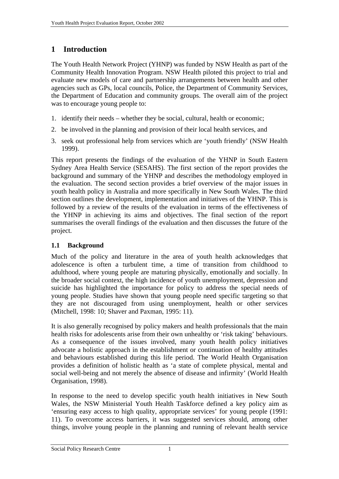## <span id="page-10-0"></span>**1 Introduction**

The Youth Health Network Project (YHNP) was funded by NSW Health as part of the Community Health Innovation Program. NSW Health piloted this project to trial and evaluate new models of care and partnership arrangements between health and other agencies such as GPs, local councils, Police, the Department of Community Services, the Department of Education and community groups. The overall aim of the project was to encourage young people to:

- 1. identify their needs whether they be social, cultural, health or economic;
- 2. be involved in the planning and provision of their local health services, and
- 3. seek out professional help from services which are 'youth friendly' (NSW Health 1999).

This report presents the findings of the evaluation of the YHNP in South Eastern Sydney Area Health Service (SESAHS). The first section of the report provides the background and summary of the YHNP and describes the methodology employed in the evaluation. The second section provides a brief overview of the major issues in youth health policy in Australia and more specifically in New South Wales. The third section outlines the development, implementation and initiatives of the YHNP. This is followed by a review of the results of the evaluation in terms of the effectiveness of the YHNP in achieving its aims and objectives. The final section of the report summarises the overall findings of the evaluation and then discusses the future of the project.

#### **1.1 Background**

Much of the policy and literature in the area of youth health acknowledges that adolescence is often a turbulent time, a time of transition from childhood to adulthood, where young people are maturing physically, emotionally and socially. In the broader social context, the high incidence of youth unemployment, depression and suicide has highlighted the importance for policy to address the special needs of young people. Studies have shown that young people need specific targeting so that they are not discouraged from using unemployment, health or other services (Mitchell, 1998: 10; Shaver and Paxman, 1995: 11).

It is also generally recognised by policy makers and health professionals that the main health risks for adolescents arise from their own unhealthy or 'risk taking' behaviours. As a consequence of the issues involved, many youth health policy initiatives advocate a holistic approach in the establishment or continuation of healthy attitudes and behaviours established during this life period. The World Health Organisation provides a definition of holistic health as 'a state of complete physical, mental and social well-being and not merely the absence of disease and infirmity' (World Health Organisation, 1998).

In response to the need to develop specific youth health initiatives in New South Wales, the NSW Ministerial Youth Health Taskforce defined a key policy aim as 'ensuring easy access to high quality, appropriate services' for young people (1991: 11). To overcome access barriers, it was suggested services should, among other things, involve young people in the planning and running of relevant health service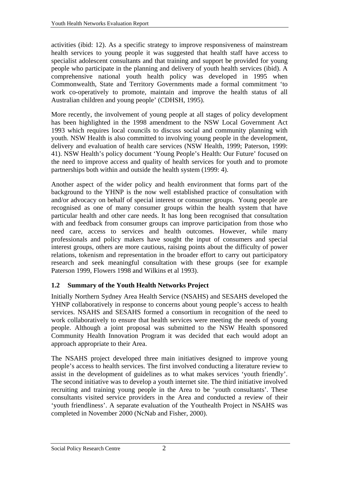<span id="page-11-0"></span>activities (ibid: 12). As a specific strategy to improve responsiveness of mainstream health services to young people it was suggested that health staff have access to specialist adolescent consultants and that training and support be provided for young people who participate in the planning and delivery of youth health services (ibid). A comprehensive national youth health policy was developed in 1995 when Commonwealth, State and Territory Governments made a formal commitment 'to work co-operatively to promote, maintain and improve the health status of all Australian children and young people' (CDHSH, 1995).

More recently, the involvement of young people at all stages of policy development has been highlighted in the 1998 amendment to the NSW Local Government Act 1993 which requires local councils to discuss social and community planning with youth. NSW Health is also committed to involving young people in the development, delivery and evaluation of health care services (NSW Health, 1999; Paterson, 1999: 41). NSW Health's policy document 'Young People's Health: Our Future' focused on the need to improve access and quality of health services for youth and to promote partnerships both within and outside the health system (1999: 4).

Another aspect of the wider policy and health environment that forms part of the background to the YHNP is the now well established practice of consultation with and/or advocacy on behalf of special interest or consumer groups. Young people are recognised as one of many consumer groups within the health system that have particular health and other care needs. It has long been recognised that consultation with and feedback from consumer groups can improve participation from those who need care, access to services and health outcomes. However, while many professionals and policy makers have sought the input of consumers and special interest groups, others are more cautious, raising points about the difficulty of power relations, tokenism and representation in the broader effort to carry out participatory research and seek meaningful consultation with these groups (see for example Paterson 1999, Flowers 1998 and Wilkins et al 1993).

#### **1.2 Summary of the Youth Health Networks Project**

Initially Northern Sydney Area Health Service (NSAHS) and SESAHS developed the YHNP collaboratively in response to concerns about young people's access to health services. NSAHS and SESAHS formed a consortium in recognition of the need to work collaboratively to ensure that health services were meeting the needs of young people. Although a joint proposal was submitted to the NSW Health sponsored Community Health Innovation Program it was decided that each would adopt an approach appropriate to their Area.

The NSAHS project developed three main initiatives designed to improve young people's access to health services. The first involved conducting a literature review to assist in the development of guidelines as to what makes services 'youth friendly'. The second initiative was to develop a youth internet site. The third initiative involved recruiting and training young people in the Area to be 'youth consultants'. These consultants visited service providers in the Area and conducted a review of their 'youth friendliness'. A separate evaluation of the Youthealth Project in NSAHS was completed in November 2000 (NcNab and Fisher, 2000).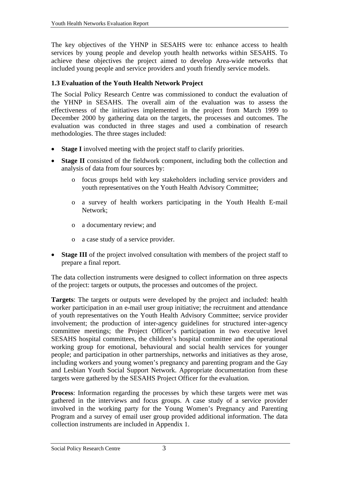<span id="page-12-0"></span>The key objectives of the YHNP in SESAHS were to: enhance access to health services by young people and develop youth health networks within SESAHS. To achieve these objectives the project aimed to develop Area-wide networks that included young people and service providers and youth friendly service models.

#### **1.3 Evaluation of the Youth Health Network Project**

The Social Policy Research Centre was commissioned to conduct the evaluation of the YHNP in SESAHS. The overall aim of the evaluation was to assess the effectiveness of the initiatives implemented in the project from March 1999 to December 2000 by gathering data on the targets, the processes and outcomes. The evaluation was conducted in three stages and used a combination of research methodologies. The three stages included:

- **Stage I** involved meeting with the project staff to clarify priorities.
- **Stage II** consisted of the fieldwork component, including both the collection and analysis of data from four sources by:
	- o focus groups held with key stakeholders including service providers and youth representatives on the Youth Health Advisory Committee;
	- o a survey of health workers participating in the Youth Health E-mail Network;
	- o a documentary review; and
	- o a case study of a service provider.
- **Stage III** of the project involved consultation with members of the project staff to prepare a final report.

The data collection instruments were designed to collect information on three aspects of the project: targets or outputs, the processes and outcomes of the project.

**Targets**: The targets or outputs were developed by the project and included: health worker participation in an e-mail user group initiative; the recruitment and attendance of youth representatives on the Youth Health Advisory Committee; service provider involvement; the production of inter-agency guidelines for structured inter-agency committee meetings; the Project Officer's participation in two executive level SESAHS hospital committees, the children's hospital committee and the operational working group for emotional, behavioural and social health services for younger people; and participation in other partnerships, networks and initiatives as they arose, including workers and young women's pregnancy and parenting program and the Gay and Lesbian Youth Social Support Network. Appropriate documentation from these targets were gathered by the SESAHS Project Officer for the evaluation.

**Process**: Information regarding the processes by which these targets were met was gathered in the interviews and focus groups. A case study of a service provider involved in the working party for the Young Women's Pregnancy and Parenting Program and a survey of email user group provided additional information. The data collection instruments are included in Appendix 1.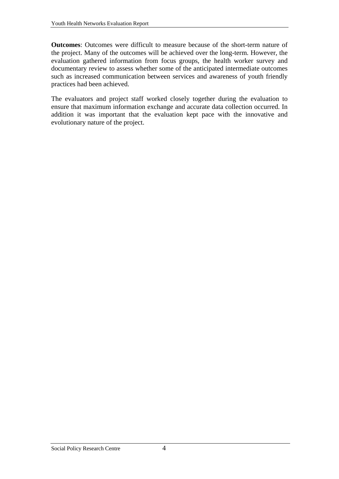**Outcomes**: Outcomes were difficult to measure because of the short-term nature of the project. Many of the outcomes will be achieved over the long-term. However, the evaluation gathered information from focus groups, the health worker survey and documentary review to assess whether some of the anticipated intermediate outcomes such as increased communication between services and awareness of youth friendly practices had been achieved.

The evaluators and project staff worked closely together during the evaluation to ensure that maximum information exchange and accurate data collection occurred. In addition it was important that the evaluation kept pace with the innovative and evolutionary nature of the project.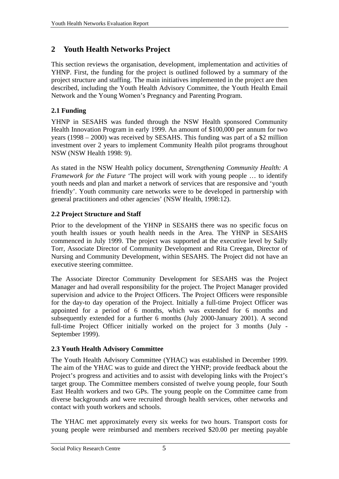## <span id="page-14-0"></span>**2 Youth Health Networks Project**

This section reviews the organisation, development, implementation and activities of YHNP. First, the funding for the project is outlined followed by a summary of the project structure and staffing. The main initiatives implemented in the project are then described, including the Youth Health Advisory Committee, the Youth Health Email Network and the Young Women's Pregnancy and Parenting Program.

## **2.1 Funding**

YHNP in SESAHS was funded through the NSW Health sponsored Community Health Innovation Program in early 1999. An amount of \$100,000 per annum for two years (1998 – 2000) was received by SESAHS. This funding was part of a \$2 million investment over 2 years to implement Community Health pilot programs throughout NSW (NSW Health 1998: 9).

As stated in the NSW Health policy document, *Strengthening Community Health: A Framework for the Future* 'The project will work with young people … to identify youth needs and plan and market a network of services that are responsive and 'youth friendly'. Youth community care networks were to be developed in partnership with general practitioners and other agencies' (NSW Health, 1998:12).

## **2.2 Project Structure and Staff**

Prior to the development of the YHNP in SESAHS there was no specific focus on youth health issues or youth health needs in the Area. The YHNP in SESAHS commenced in July 1999. The project was supported at the executive level by Sally Torr, Associate Director of Community Development and Rita Creegan, Director of Nursing and Community Development, within SESAHS. The Project did not have an executive steering committee.

The Associate Director Community Development for SESAHS was the Project Manager and had overall responsibility for the project. The Project Manager provided supervision and advice to the Project Officers. The Project Officers were responsible for the day-to day operation of the Project. Initially a full-time Project Officer was appointed for a period of 6 months, which was extended for 6 months and subsequently extended for a further 6 months (July 2000-January 2001). A second full-time Project Officer initially worked on the project for 3 months (July - September 1999).

## **2.3 Youth Health Advisory Committee**

The Youth Health Advisory Committee (YHAC) was established in December 1999. The aim of the YHAC was to guide and direct the YHNP; provide feedback about the Project's progress and activities and to assist with developing links with the Project's target group. The Committee members consisted of twelve young people, four South East Health workers and two GPs. The young people on the Committee came from diverse backgrounds and were recruited through health services, other networks and contact with youth workers and schools.

The YHAC met approximately every six weeks for two hours. Transport costs for young people were reimbursed and members received \$20.00 per meeting payable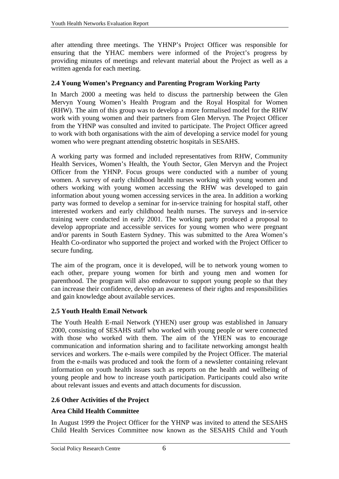<span id="page-15-0"></span>after attending three meetings. The YHNP's Project Officer was responsible for ensuring that the YHAC members were informed of the Project's progress by providing minutes of meetings and relevant material about the Project as well as a written agenda for each meeting.

#### **2.4 Young Women's Pregnancy and Parenting Program Working Party**

In March 2000 a meeting was held to discuss the partnership between the Glen Mervyn Young Women's Health Program and the Royal Hospital for Women (RHW). The aim of this group was to develop a more formalised model for the RHW work with young women and their partners from Glen Mervyn. The Project Officer from the YHNP was consulted and invited to participate. The Project Officer agreed to work with both organisations with the aim of developing a service model for young women who were pregnant attending obstetric hospitals in SESAHS.

A working party was formed and included representatives from RHW, Community Health Services, Women's Health, the Youth Sector, Glen Mervyn and the Project Officer from the YHNP. Focus groups were conducted with a number of young women. A survey of early childhood health nurses working with young women and others working with young women accessing the RHW was developed to gain information about young women accessing services in the area. In addition a working party was formed to develop a seminar for in-service training for hospital staff, other interested workers and early childhood health nurses. The surveys and in-service training were conducted in early 2001. The working party produced a proposal to develop appropriate and accessible services for young women who were pregnant and/or parents in South Eastern Sydney. This was submitted to the Area Women's Health Co-ordinator who supported the project and worked with the Project Officer to secure funding.

The aim of the program, once it is developed, will be to network young women to each other, prepare young women for birth and young men and women for parenthood. The program will also endeavour to support young people so that they can increase their confidence, develop an awareness of their rights and responsibilities and gain knowledge about available services.

#### **2.5 Youth Health Email Network**

The Youth Health E-mail Network (YHEN) user group was established in January 2000, consisting of SESAHS staff who worked with young people or were connected with those who worked with them. The aim of the YHEN was to encourage communication and information sharing and to facilitate networking amongst health services and workers. The e-mails were compiled by the Project Officer. The material from the e-mails was produced and took the form of a newsletter containing relevant information on youth health issues such as reports on the health and wellbeing of young people and how to increase youth participation. Participants could also write about relevant issues and events and attach documents for discussion.

#### **2.6 Other Activities of the Project**

#### **Area Child Health Committee**

In August 1999 the Project Officer for the YHNP was invited to attend the SESAHS Child Health Services Committee now known as the SESAHS Child and Youth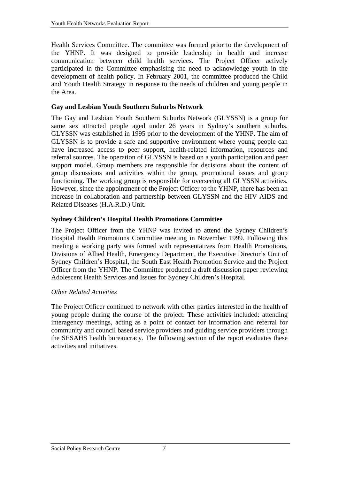Health Services Committee. The committee was formed prior to the development of the YHNP. It was designed to provide leadership in health and increase communication between child health services. The Project Officer actively participated in the Committee emphasising the need to acknowledge youth in the development of health policy. In February 2001, the committee produced the Child and Youth Health Strategy in response to the needs of children and young people in the Area.

#### **Gay and Lesbian Youth Southern Suburbs Network**

The Gay and Lesbian Youth Southern Suburbs Network (GLYSSN) is a group for same sex attracted people aged under 26 years in Sydney's southern suburbs. GLYSSN was established in 1995 prior to the development of the YHNP. The aim of GLYSSN is to provide a safe and supportive environment where young people can have increased access to peer support, health-related information, resources and referral sources. The operation of GLYSSN is based on a youth participation and peer support model. Group members are responsible for decisions about the content of group discussions and activities within the group, promotional issues and group functioning. The working group is responsible for overseeing all GLYSSN activities. However, since the appointment of the Project Officer to the YHNP, there has been an increase in collaboration and partnership between GLYSSN and the HIV AIDS and Related Diseases (H.A.R.D.) Unit.

#### **Sydney Children's Hospital Health Promotions Committee**

The Project Officer from the YHNP was invited to attend the Sydney Children's Hospital Health Promotions Committee meeting in November 1999. Following this meeting a working party was formed with representatives from Health Promotions, Divisions of Allied Health, Emergency Department, the Executive Director's Unit of Sydney Children's Hospital, the South East Health Promotion Service and the Project Officer from the YHNP. The Committee produced a draft discussion paper reviewing Adolescent Health Services and Issues for Sydney Children's Hospital.

#### *Other Related Activities*

The Project Officer continued to network with other parties interested in the health of young people during the course of the project. These activities included: attending interagency meetings, acting as a point of contact for information and referral for community and council based service providers and guiding service providers through the SESAHS health bureaucracy. The following section of the report evaluates these activities and initiatives.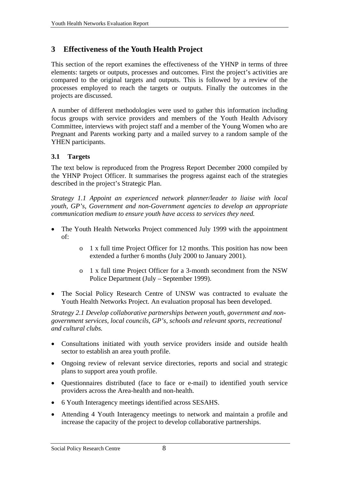## <span id="page-17-0"></span>**3 Effectiveness of the Youth Health Project**

This section of the report examines the effectiveness of the YHNP in terms of three elements: targets or outputs, processes and outcomes. First the project's activities are compared to the original targets and outputs. This is followed by a review of the processes employed to reach the targets or outputs. Finally the outcomes in the projects are discussed.

A number of different methodologies were used to gather this information including focus groups with service providers and members of the Youth Health Advisory Committee, interviews with project staff and a member of the Young Women who are Pregnant and Parents working party and a mailed survey to a random sample of the YHEN participants.

#### **3.1 Targets**

The text below is reproduced from the Progress Report December 2000 compiled by the YHNP Project Officer. It summarises the progress against each of the strategies described in the project's Strategic Plan.

*Strategy 1.1 Appoint an experienced network planner/leader to liaise with local youth, GP's, Government and non-Government agencies to develop an appropriate communication medium to ensure youth have access to services they need.* 

- The Youth Health Networks Project commenced July 1999 with the appointment of:
	- o 1 x full time Project Officer for 12 months. This position has now been extended a further 6 months (July 2000 to January 2001).
	- o 1 x full time Project Officer for a 3-month secondment from the NSW Police Department (July – September 1999).
- The Social Policy Research Centre of UNSW was contracted to evaluate the Youth Health Networks Project. An evaluation proposal has been developed.

*Strategy 2.1 Develop collaborative partnerships between youth, government and nongovernment services, local councils, GP's, schools and relevant sports, recreational and cultural clubs.* 

- Consultations initiated with youth service providers inside and outside health sector to establish an area youth profile.
- Ongoing review of relevant service directories, reports and social and strategic plans to support area youth profile.
- Questionnaires distributed (face to face or e-mail) to identified youth service providers across the Area-health and non-health.
- 6 Youth Interagency meetings identified across SESAHS.
- Attending 4 Youth Interagency meetings to network and maintain a profile and increase the capacity of the project to develop collaborative partnerships.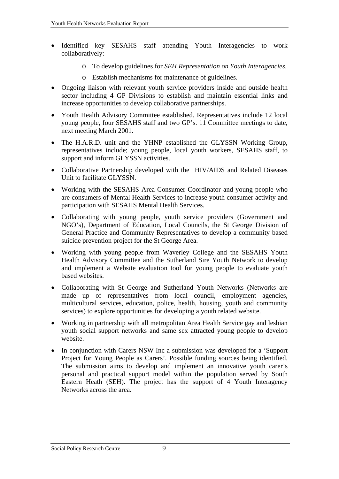- Identified key SESAHS staff attending Youth Interagencies to work collaboratively:
	- o To develop guidelines for *SEH Representation on Youth Interagencies,*
	- o Establish mechanisms for maintenance of guidelines.
- Ongoing liaison with relevant youth service providers inside and outside health sector including 4 GP Divisions to establish and maintain essential links and increase opportunities to develop collaborative partnerships.
- Youth Health Advisory Committee established. Representatives include 12 local young people, four SESAHS staff and two GP's. 11 Committee meetings to date, next meeting March 2001.
- The H.A.R.D. unit and the YHNP established the GLYSSN Working Group, representatives include; young people, local youth workers, SESAHS staff, to support and inform GLYSSN activities.
- Collaborative Partnership developed with the HIV/AIDS and Related Diseases Unit to facilitate GLYSSN.
- Working with the SESAHS Area Consumer Coordinator and young people who are consumers of Mental Health Services to increase youth consumer activity and participation with SESAHS Mental Health Services.
- Collaborating with young people, youth service providers (Government and NGO's), Department of Education, Local Councils, the St George Division of General Practice and Community Representatives to develop a community based suicide prevention project for the St George Area.
- Working with young people from Waverley College and the SESAHS Youth Health Advisory Committee and the Sutherland Sire Youth Network to develop and implement a Website evaluation tool for young people to evaluate youth based websites.
- Collaborating with St George and Sutherland Youth Networks (Networks are made up of representatives from local council, employment agencies, multicultural services, education, police, health, housing, youth and community services) to explore opportunities for developing a youth related website.
- Working in partnership with all metropolitan Area Health Service gay and lesbian youth social support networks and same sex attracted young people to develop website.
- In conjunction with Carers NSW Inc a submission was developed for a 'Support Project for Young People as Carers'. Possible funding sources being identified. The submission aims to develop and implement an innovative youth carer's personal and practical support model within the population served by South Eastern Heath (SEH). The project has the support of 4 Youth Interagency Networks across the area.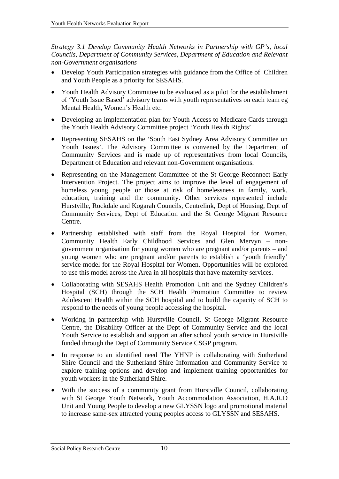*Strategy 3.1 Develop Community Health Networks in Partnership with GP's, local Councils, Department of Community Services, Department of Education and Relevant non-Government organisations* 

- Develop Youth Participation strategies with guidance from the Office of Children and Youth People as a priority for SESAHS.
- Youth Health Advisory Committee to be evaluated as a pilot for the establishment of 'Youth Issue Based' advisory teams with youth representatives on each team eg Mental Health, Women's Health etc.
- Developing an implementation plan for Youth Access to Medicare Cards through the Youth Health Advisory Committee project 'Youth Health Rights'
- Representing SESAHS on the 'South East Sydney Area Advisory Committee on Youth Issues'. The Advisory Committee is convened by the Department of Community Services and is made up of representatives from local Councils, Department of Education and relevant non-Government organisations.
- Representing on the Management Committee of the St George Reconnect Early Intervention Project. The project aims to improve the level of engagement of homeless young people or those at risk of homelessness in family, work, education, training and the community. Other services represented include Hurstville, Rockdale and Kogarah Councils, Centrelink, Dept of Housing, Dept of Community Services, Dept of Education and the St George Migrant Resource Centre.
- Partnership established with staff from the Royal Hospital for Women, Community Health Early Childhood Services and Glen Mervyn – nongovernment organisation for young women who are pregnant and/or parents – and young women who are pregnant and/or parents to establish a 'youth friendly' service model for the Royal Hospital for Women. Opportunities will be explored to use this model across the Area in all hospitals that have maternity services.
- Collaborating with SESAHS Health Promotion Unit and the Sydney Children's Hospital (SCH) through the SCH Health Promotion Committee to review Adolescent Health within the SCH hospital and to build the capacity of SCH to respond to the needs of young people accessing the hospital.
- Working in partnership with Hurstville Council, St George Migrant Resource Centre, the Disability Officer at the Dept of Community Service and the local Youth Service to establish and support an after school youth service in Hurstville funded through the Dept of Community Service CSGP program.
- In response to an identified need The YHNP is collaborating with Sutherland Shire Council and the Sutherland Shire Information and Community Service to explore training options and develop and implement training opportunities for youth workers in the Sutherland Shire.
- With the success of a community grant from Hurstville Council, collaborating with St George Youth Network, Youth Accommodation Association, H.A.R.D Unit and Young People to develop a new GLYSSN logo and promotional material to increase same-sex attracted young peoples access to GLYSSN and SESAHS.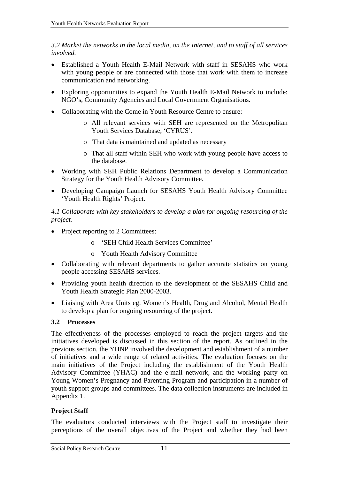<span id="page-20-0"></span>*3.2 Market the networks in the local media, on the Internet, and to staff of all services involved.* 

- Established a Youth Health E-Mail Network with staff in SESAHS who work with young people or are connected with those that work with them to increase communication and networking.
- Exploring opportunities to expand the Youth Health E-Mail Network to include: NGO's, Community Agencies and Local Government Organisations.
- Collaborating with the Come in Youth Resource Centre to ensure:
	- o All relevant services with SEH are represented on the Metropolitan Youth Services Database, 'CYRUS'.
	- o That data is maintained and updated as necessary
	- o That all staff within SEH who work with young people have access to the database.
- Working with SEH Public Relations Department to develop a Communication Strategy for the Youth Health Advisory Committee.
- Developing Campaign Launch for SESAHS Youth Health Advisory Committee 'Youth Health Rights' Project.

*4.1 Collaborate with key stakeholders to develop a plan for ongoing resourcing of the project.* 

- Project reporting to 2 Committees:
	- o 'SEH Child Health Services Committee'
	- o Youth Health Advisory Committee
- Collaborating with relevant departments to gather accurate statistics on young people accessing SESAHS services.
- Providing youth health direction to the development of the SESAHS Child and Youth Health Strategic Plan 2000-2003.
- Liaising with Area Units eg. Women's Health, Drug and Alcohol, Mental Health to develop a plan for ongoing resourcing of the project.

#### **3.2 Processes**

The effectiveness of the processes employed to reach the project targets and the initiatives developed is discussed in this section of the report. As outlined in the previous section, the YHNP involved the development and establishment of a number of initiatives and a wide range of related activities. The evaluation focuses on the main initiatives of the Project including the establishment of the Youth Health Advisory Committee (YHAC) and the e-mail network, and the working party on Young Women's Pregnancy and Parenting Program and participation in a number of youth support groups and committees. The data collection instruments are included in Appendix 1.

#### **Project Staff**

The evaluators conducted interviews with the Project staff to investigate their perceptions of the overall objectives of the Project and whether they had been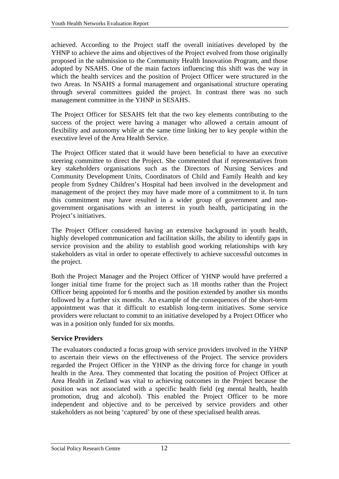achieved. According to the Project staff the overall initiatives developed by the YHNP to achieve the aims and objectives of the Project evolved from those originally proposed in the submission to the Community Health Innovation Program, and those adopted by NSAHS. One of the main factors influencing this shift was the way in which the health services and the position of Project Officer were structured in the two Areas. In NSAHS a formal management and organisational structure operating through several committees guided the project. In contrast there was no such management committee in the YHNP in SESAHS.

The Project Officer for SESAHS felt that the two key elements contributing to the success of the project were having a manager who allowed a certain amount of flexibility and autonomy while at the same time linking her to key people within the executive level of the Area Health Service.

The Project Officer stated that it would have been beneficial to have an executive steering committee to direct the Project. She commented that if representatives from key stakeholders organisations such as the Directors of Nursing Services and Community Development Units, Coordinators of Child and Family Health and key people from Sydney Children's Hospital had been involved in the development and management of the project they may have made more of a commitment to it. In turn this commitment may have resulted in a wider group of government and nongovernment organisations with an interest in youth health, participating in the Project's initiatives.

The Project Officer considered having an extensive background in youth health, highly developed communication and facilitation skills, the ability to identify gaps in service provision and the ability to establish good working relationships with key stakeholders as vital in order to operate effectively to achieve successful outcomes in the project.

Both the Project Manager and the Project Officer of YHNP would have preferred a longer initial time frame for the project such as 18 months rather than the Project Officer being appointed for 6 months and the position extended by another six months followed by a further six months. An example of the consequences of the short-term appointment was that it difficult to establish long-term initiatives. Some service providers were reluctant to commit to an initiative developed by a Project Officer who was in a position only funded for six months.

#### **Service Providers**

The evaluators conducted a focus group with service providers involved in the YHNP to ascertain their views on the effectiveness of the Project. The service providers regarded the Project Officer in the YHNP as the driving force for change in youth health in the Area. They commented that locating the position of Project Officer at Area Health in Zetland was vital to achieving outcomes in the Project because the position was not associated with a specific health field (eg mental health, health promotion, drug and alcohol). This enabled the Project Officer to be more independent and objective and to be perceived by service providers and other stakeholders as not being 'captured' by one of these specialised health areas.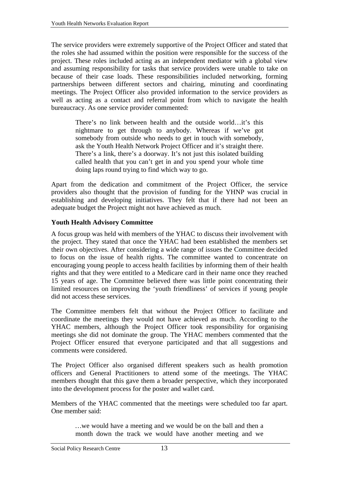The service providers were extremely supportive of the Project Officer and stated that the roles she had assumed within the position were responsible for the success of the project. These roles included acting as an independent mediator with a global view and assuming responsibility for tasks that service providers were unable to take on because of their case loads. These responsibilities included networking, forming partnerships between different sectors and chairing, minuting and coordinating meetings. The Project Officer also provided information to the service providers as well as acting as a contact and referral point from which to navigate the health bureaucracy. As one service provider commented:

> There's no link between health and the outside world…it's this nightmare to get through to anybody. Whereas if we've got somebody from outside who needs to get in touch with somebody, ask the Youth Health Network Project Officer and it's straight there. There's a link, there's a doorway. It's not just this isolated building called health that you can't get in and you spend your whole time doing laps round trying to find which way to go.

Apart from the dedication and commitment of the Project Officer, the service providers also thought that the provision of funding for the YHNP was crucial in establishing and developing initiatives. They felt that if there had not been an adequate budget the Project might not have achieved as much.

#### **Youth Health Advisory Committee**

A focus group was held with members of the YHAC to discuss their involvement with the project. They stated that once the YHAC had been established the members set their own objectives. After considering a wide range of issues the Committee decided to focus on the issue of health rights. The committee wanted to concentrate on encouraging young people to access health facilities by informing them of their health rights and that they were entitled to a Medicare card in their name once they reached 15 years of age. The Committee believed there was little point concentrating their limited resources on improving the 'youth friendliness' of services if young people did not access these services.

The Committee members felt that without the Project Officer to facilitate and coordinate the meetings they would not have achieved as much. According to the YHAC members, although the Project Officer took responsibility for organising meetings she did not dominate the group. The YHAC members commented that the Project Officer ensured that everyone participated and that all suggestions and comments were considered.

The Project Officer also organised different speakers such as health promotion officers and General Practitioners to attend some of the meetings. The YHAC members thought that this gave them a broader perspective, which they incorporated into the development process for the poster and wallet card.

Members of the YHAC commented that the meetings were scheduled too far apart. One member said:

> *…*we would have a meeting and we would be on the ball and then a month down the track we would have another meeting and we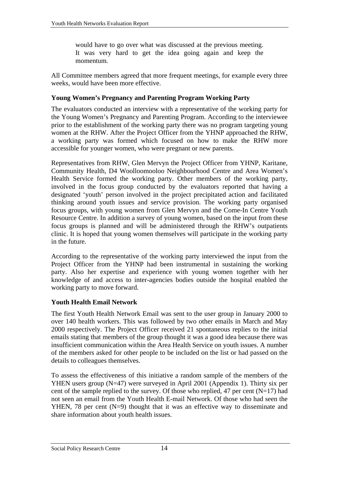would have to go over what was discussed at the previous meeting. It was very hard to get the idea going again and keep the momentum*.*

All Committee members agreed that more frequent meetings, for example every three weeks, would have been more effective.

#### **Young Women's Pregnancy and Parenting Program Working Party**

The evaluators conducted an interview with a representative of the working party for the Young Women's Pregnancy and Parenting Program. According to the interviewee prior to the establishment of the working party there was no program targeting young women at the RHW. After the Project Officer from the YHNP approached the RHW, a working party was formed which focused on how to make the RHW more accessible for younger women, who were pregnant or new parents.

Representatives from RHW, Glen Mervyn the Project Officer from YHNP, Karitane, Community Health, D4 Woolloomooloo Neighbourhood Centre and Area Women's Health Service formed the working party. Other members of the working party, involved in the focus group conducted by the evaluators reported that having a designated 'youth' person involved in the project precipitated action and facilitated thinking around youth issues and service provision. The working party organised focus groups, with young women from Glen Mervyn and the Come-In Centre Youth Resource Centre. In addition a survey of young women, based on the input from these focus groups is planned and will be administered through the RHW's outpatients clinic. It is hoped that young women themselves will participate in the working party in the future.

According to the representative of the working party interviewed the input from the Project Officer from the YHNP had been instrumental in sustaining the working party. Also her expertise and experience with young women together with her knowledge of and access to inter-agencies bodies outside the hospital enabled the working party to move forward.

#### **Youth Health Email Network**

The first Youth Health Network Email was sent to the user group in January 2000 to over 140 health workers. This was followed by two other emails in March and May 2000 respectively. The Project Officer received 21 spontaneous replies to the initial emails stating that members of the group thought it was a good idea because there was insufficient communication within the Area Health Service on youth issues. A number of the members asked for other people to be included on the list or had passed on the details to colleagues themselves.

To assess the effectiveness of this initiative a random sample of the members of the YHEN users group (N=47) were surveyed in April 2001 (Appendix 1). Thirty six per cent of the sample replied to the survey. Of those who replied, 47 per cent  $(N=17)$  had not seen an email from the Youth Health E-mail Network. Of those who had seen the YHEN, 78 per cent (N=9) thought that it was an effective way to disseminate and share information about youth health issues.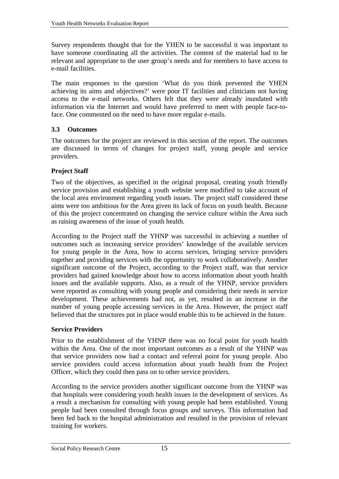<span id="page-24-0"></span>Survey respondents thought that for the YHEN to be successful it was important to have someone coordinating all the activities. The content of the material had to be relevant and appropriate to the user group's needs and for members to have access to e-mail facilities.

The main responses to the question 'What do you think prevented the YHEN achieving its aims and objectives?' were poor IT facilities and clinicians not having access to the e-mail networks. Others felt that they were already inundated with information via the Internet and would have preferred to meet with people face-toface. One commented on the need to have more regular e-mails.

#### **3.3 Outcomes**

The outcomes for the project are reviewed in this section of the report. The outcomes are discussed in terms of changes for project staff, young people and service providers.

#### **Project Staff**

Two of the objectives, as specified in the original proposal, creating youth friendly service provision and establishing a youth website were modified to take account of the local area environment regarding youth issues. The project staff considered these aims were too ambitious for the Area given its lack of focus on youth health. Because of this the project concentrated on changing the service culture within the Area such as raising awareness of the issue of youth health.

According to the Project staff the YHNP was successful in achieving a number of outcomes such as increasing service providers' knowledge of the available services for young people in the Area, how to access services, bringing service providers together and providing services with the opportunity to work collaboratively. Another significant outcome of the Project, according to the Project staff, was that service providers had gained knowledge about how to access information about youth health issues and the available supports. Also, as a result of the YHNP, service providers were reported as consulting with young people and considering their needs in service development. These achievements had not, as yet, resulted in an increase in the number of young people accessing services in the Area. However, the project staff believed that the structures put in place would enable this to be achieved in the future.

#### **Service Providers**

Prior to the establishment of the YHNP there was no focal point for youth health within the Area. One of the most important outcomes as a result of the YHNP was that service providers now had a contact and referral point for young people. Also service providers could access information about youth health from the Project Officer, which they could then pass on to other service providers.

According to the service providers another significant outcome from the YHNP was that hospitals were considering youth health issues in the development of services. As a result a mechanism for consulting with young people had been established. Young people had been consulted through focus groups and surveys. This information had been fed back to the hospital administration and resulted in the provision of relevant training for workers.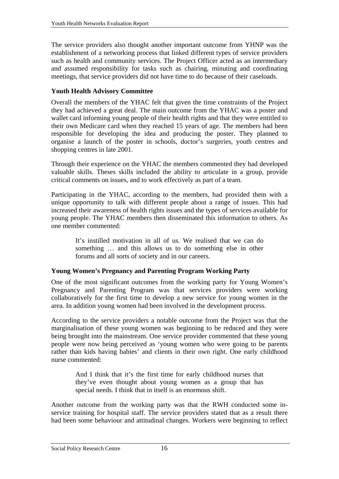The service providers also thought another important outcome from YHNP was the establishment of a networking process that linked different types of service providers such as health and community services. The Project Officer acted as an intermediary and assumed responsibility for tasks such as chairing, minuting and coordinating meetings, that service providers did not have time to do because of their caseloads.

#### **Youth Health Advisory Committee**

Overall the members of the YHAC felt that given the time constraints of the Project they had achieved a great deal. The main outcome from the YHAC was a poster and wallet card informing young people of their health rights and that they were entitled to their own Medicare card when they reached 15 years of age. The members had been responsible for developing the idea and producing the poster. They planned to organise a launch of the poster in schools, doctor's surgeries, youth centres and shopping centres in late 2001.

Through their experience on the YHAC the members commented they had developed valuable skills. Theses skills included the ability to articulate in a group, provide critical comments on issues, and to work effectively as part of a team.

Participating in the YHAC, according to the members, had provided them with a unique opportunity to talk with different people about a range of issues. This had increased their awareness of health rights issues and the types of services available for young people. The YHAC members then disseminated this information to others. As one member commented:

> It's instilled motivation in all of us. We realised that we can do something … and this allows us to do something else in other forums and all sorts of society and in our careers.

#### **Young Women's Pregnancy and Parenting Program Working Party**

One of the most significant outcomes from the working party for Young Women's Pregnancy and Parenting Program was that services providers were working collaboratively for the first time to develop a new service for young women in the area. In addition young women had been involved in the development process.

According to the service providers a notable outcome from the Project was that the marginalisation of these young women was beginning to be reduced and they were being brought into the mainstream. One service provider commented that these young people were now being perceived as 'young women who were going to be parents rather than kids having babies' and clients in their own right. One early childhood nurse commented:

> And I think that it's the first time for early childhood nurses that they've even thought about young women as a group that has special needs. I think that in itself is an enormous shift.

Another outcome from the working party was that the RWH conducted some inservice training for hospital staff. The service providers stated that as a result there had been some behaviour and attitudinal changes. Workers were beginning to reflect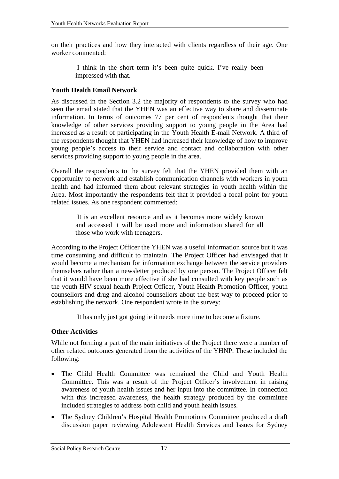on their practices and how they interacted with clients regardless of their age. One worker commented:

> I think in the short term it's been quite quick. I've really been impressed with that.

#### **Youth Health Email Network**

As discussed in the Section 3.2 the majority of respondents to the survey who had seen the email stated that the YHEN was an effective way to share and disseminate information. In terms of outcomes 77 per cent of respondents thought that their knowledge of other services providing support to young people in the Area had increased as a result of participating in the Youth Health E-mail Network. A third of the respondents thought that YHEN had increased their knowledge of how to improve young people's access to their service and contact and collaboration with other services providing support to young people in the area.

Overall the respondents to the survey felt that the YHEN provided them with an opportunity to network and establish communication channels with workers in youth health and had informed them about relevant strategies in youth health within the Area. Most importantly the respondents felt that it provided a focal point for youth related issues. As one respondent commented:

> It is an excellent resource and as it becomes more widely known and accessed it will be used more and information shared for all those who work with teenagers.

According to the Project Officer the YHEN was a useful information source but it was time consuming and difficult to maintain. The Project Officer had envisaged that it would become a mechanism for information exchange between the service providers themselves rather than a newsletter produced by one person. The Project Officer felt that it would have been more effective if she had consulted with key people such as the youth HIV sexual health Project Officer, Youth Health Promotion Officer, youth counsellors and drug and alcohol counsellors about the best way to proceed prior to establishing the network. One respondent wrote in the survey:

It has only just got going ie it needs more time to become a fixture.

#### **Other Activities**

While not forming a part of the main initiatives of the Project there were a number of other related outcomes generated from the activities of the YHNP. These included the following:

- The Child Health Committee was remained the Child and Youth Health Committee. This was a result of the Project Officer's involvement in raising awareness of youth health issues and her input into the committee. In connection with this increased awareness, the health strategy produced by the committee included strategies to address both child and youth health issues.
- The Sydney Children's Hospital Health Promotions Committee produced a draft discussion paper reviewing Adolescent Health Services and Issues for Sydney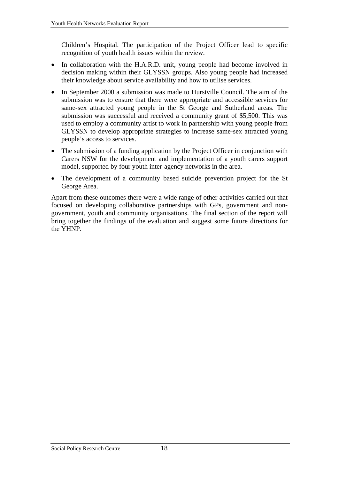Children's Hospital. The participation of the Project Officer lead to specific recognition of youth health issues within the review.

- In collaboration with the H.A.R.D. unit, young people had become involved in decision making within their GLYSSN groups. Also young people had increased their knowledge about service availability and how to utilise services.
- In September 2000 a submission was made to Hurstville Council. The aim of the submission was to ensure that there were appropriate and accessible services for same-sex attracted young people in the St George and Sutherland areas. The submission was successful and received a community grant of \$5,500. This was used to employ a community artist to work in partnership with young people from GLYSSN to develop appropriate strategies to increase same-sex attracted young people's access to services.
- The submission of a funding application by the Project Officer in conjunction with Carers NSW for the development and implementation of a youth carers support model, supported by four youth inter-agency networks in the area.
- The development of a community based suicide prevention project for the St George Area.

Apart from these outcomes there were a wide range of other activities carried out that focused on developing collaborative partnerships with GPs, government and nongovernment, youth and community organisations. The final section of the report will bring together the findings of the evaluation and suggest some future directions for the YHNP.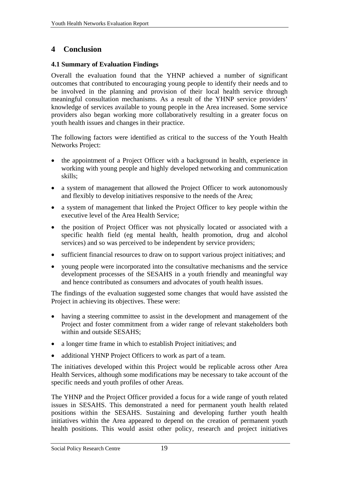## <span id="page-28-0"></span>**4 Conclusion**

#### **4.1 Summary of Evaluation Findings**

Overall the evaluation found that the YHNP achieved a number of significant outcomes that contributed to encouraging young people to identify their needs and to be involved in the planning and provision of their local health service through meaningful consultation mechanisms. As a result of the YHNP service providers' knowledge of services available to young people in the Area increased. Some service providers also began working more collaboratively resulting in a greater focus on youth health issues and changes in their practice.

The following factors were identified as critical to the success of the Youth Health Networks Project:

- the appointment of a Project Officer with a background in health, experience in working with young people and highly developed networking and communication skills;
- a system of management that allowed the Project Officer to work autonomously and flexibly to develop initiatives responsive to the needs of the Area;
- a system of management that linked the Project Officer to key people within the executive level of the Area Health Service;
- the position of Project Officer was not physically located or associated with a specific health field (eg mental health, health promotion, drug and alcohol services) and so was perceived to be independent by service providers;
- sufficient financial resources to draw on to support various project initiatives; and
- young people were incorporated into the consultative mechanisms and the service development processes of the SESAHS in a youth friendly and meaningful way and hence contributed as consumers and advocates of youth health issues.

The findings of the evaluation suggested some changes that would have assisted the Project in achieving its objectives. These were:

- having a steering committee to assist in the development and management of the Project and foster commitment from a wider range of relevant stakeholders both within and outside SESAHS;
- a longer time frame in which to establish Project initiatives; and
- additional YHNP Project Officers to work as part of a team.

The initiatives developed within this Project would be replicable across other Area Health Services, although some modifications may be necessary to take account of the specific needs and youth profiles of other Areas.

The YHNP and the Project Officer provided a focus for a wide range of youth related issues in SESAHS. This demonstrated a need for permanent youth health related positions within the SESAHS. Sustaining and developing further youth health initiatives within the Area appeared to depend on the creation of permanent youth health positions. This would assist other policy, research and project initiatives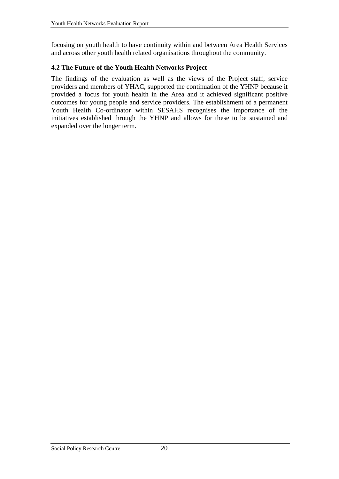<span id="page-29-0"></span>focusing on youth health to have continuity within and between Area Health Services and across other youth health related organisations throughout the community.

#### **4.2 The Future of the Youth Health Networks Project**

The findings of the evaluation as well as the views of the Project staff, service providers and members of YHAC, supported the continuation of the YHNP because it provided a focus for youth health in the Area and it achieved significant positive outcomes for young people and service providers. The establishment of a permanent Youth Health Co-ordinator within SESAHS recognises the importance of the initiatives established through the YHNP and allows for these to be sustained and expanded over the longer term.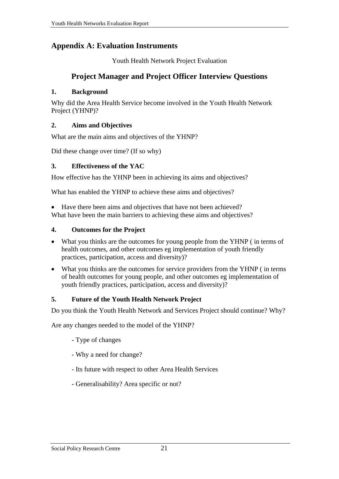## <span id="page-30-0"></span>**Appendix A: Evaluation Instruments**

Youth Health Network Project Evaluation

## **Project Manager and Project Officer Interview Questions**

#### **1. Background**

Why did the Area Health Service become involved in the Youth Health Network Project (YHNP)?

#### **2. Aims and Objectives**

What are the main aims and objectives of the YHNP?

Did these change over time? (If so why)

#### **3. Effectiveness of the YAC**

How effective has the YHNP been in achieving its aims and objectives?

What has enabled the YHNP to achieve these aims and objectives?

• Have there been aims and objectives that have not been achieved? What have been the main barriers to achieving these aims and objectives?

#### **4. Outcomes for the Project**

- What you thinks are the outcomes for young people from the YHNP (in terms of health outcomes, and other outcomes eg implementation of youth friendly practices, participation, access and diversity)?
- What you thinks are the outcomes for service providers from the YHNP (in terms of health outcomes for young people, and other outcomes eg implementation of youth friendly practices, participation, access and diversity)?

#### **5. Future of the Youth Health Network Project**

Do you think the Youth Health Network and Services Project should continue? Why?

Are any changes needed to the model of the YHNP?

- Type of changes
- Why a need for change?
- Its future with respect to other Area Health Services
- Generalisability? Area specific or not?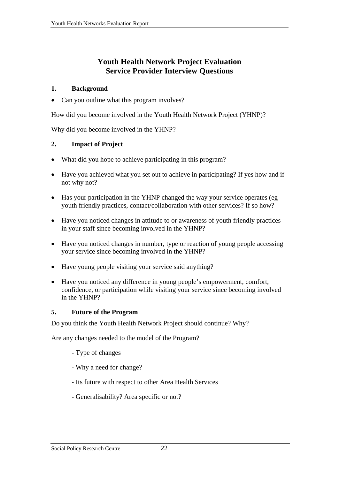## **Youth Health Network Project Evaluation Service Provider Interview Questions**

#### **1. Background**

• Can you outline what this program involves?

How did you become involved in the Youth Health Network Project (YHNP)?

Why did you become involved in the YHNP?

#### **2. Impact of Project**

- What did you hope to achieve participating in this program?
- Have you achieved what you set out to achieve in participating? If yes how and if not why not?
- Has your participation in the YHNP changed the way your service operates (eg youth friendly practices, contact/collaboration with other services? If so how?
- Have you noticed changes in attitude to or awareness of youth friendly practices in your staff since becoming involved in the YHNP?
- Have you noticed changes in number, type or reaction of young people accessing your service since becoming involved in the YHNP?
- Have young people visiting your service said anything?
- Have you noticed any difference in young people's empowerment, comfort, confidence, or participation while visiting your service since becoming involved in the YHNP?

#### **5. Future of the Program**

Do you think the Youth Health Network Project should continue? Why?

Are any changes needed to the model of the Program?

- Type of changes
- Why a need for change?
- Its future with respect to other Area Health Services
- Generalisability? Area specific or not?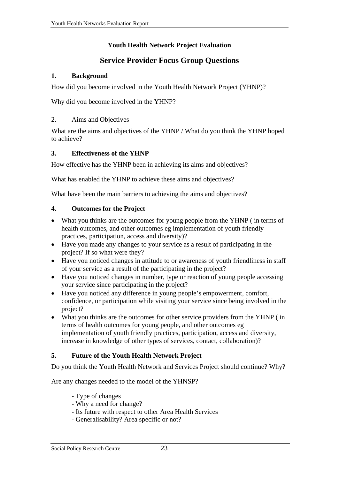#### **Youth Health Network Project Evaluation**

## **Service Provider Focus Group Questions**

#### **1. Background**

How did you become involved in the Youth Health Network Project (YHNP)?

Why did you become involved in the YHNP?

#### 2. Aims and Objectives

What are the aims and objectives of the YHNP / What do you think the YHNP hoped to achieve?

#### **3. Effectiveness of the YHNP**

How effective has the YHNP been in achieving its aims and objectives?

What has enabled the YHNP to achieve these aims and objectives?

What have been the main barriers to achieving the aims and objectives?

#### **4. Outcomes for the Project**

- What you thinks are the outcomes for young people from the YHNP (in terms of health outcomes, and other outcomes eg implementation of youth friendly practices, participation, access and diversity)?
- Have you made any changes to your service as a result of participating in the project? If so what were they?
- Have you noticed changes in attitude to or awareness of youth friendliness in staff of your service as a result of the participating in the project?
- Have you noticed changes in number, type or reaction of young people accessing your service since participating in the project?
- Have you noticed any difference in young people's empowerment, comfort, confidence, or participation while visiting your service since being involved in the project?
- What you thinks are the outcomes for other service providers from the YHNP ( in terms of health outcomes for young people, and other outcomes eg implementation of youth friendly practices, participation, access and diversity, increase in knowledge of other types of services, contact, collaboration)?

#### **5. Future of the Youth Health Network Project**

Do you think the Youth Health Network and Services Project should continue? Why?

Are any changes needed to the model of the YHNSP?

- Type of changes
- Why a need for change?
- Its future with respect to other Area Health Services
- Generalisability? Area specific or not?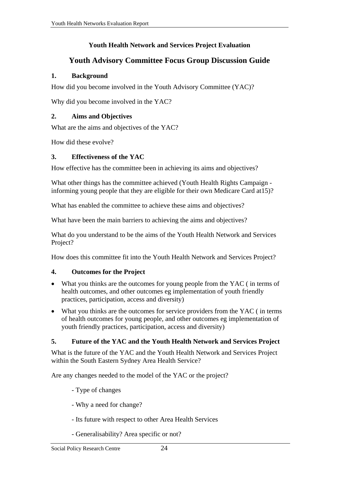#### **Youth Health Network and Services Project Evaluation**

### **Youth Advisory Committee Focus Group Discussion Guide**

#### **1. Background**

How did you become involved in the Youth Advisory Committee (YAC)?

Why did you become involved in the YAC?

#### **2. Aims and Objectives**

What are the aims and objectives of the YAC?

How did these evolve?

#### **3. Effectiveness of the YAC**

How effective has the committee been in achieving its aims and objectives?

What other things has the committee achieved (Youth Health Rights Campaign informing young people that they are eligible for their own Medicare Card at15)?

What has enabled the committee to achieve these aims and objectives?

What have been the main barriers to achieving the aims and objectives?

What do you understand to be the aims of the Youth Health Network and Services Project?

How does this committee fit into the Youth Health Network and Services Project?

#### **4. Outcomes for the Project**

- What you thinks are the outcomes for young people from the YAC (in terms of health outcomes, and other outcomes eg implementation of youth friendly practices, participation, access and diversity)
- What you thinks are the outcomes for service providers from the YAC (in terms of health outcomes for young people, and other outcomes eg implementation of youth friendly practices, participation, access and diversity)

#### **5. Future of the YAC and the Youth Health Network and Services Project**

What is the future of the YAC and the Youth Health Network and Services Project within the South Eastern Sydney Area Health Service?

Are any changes needed to the model of the YAC or the project?

- Type of changes
- Why a need for change?
- Its future with respect to other Area Health Services
- Generalisability? Area specific or not?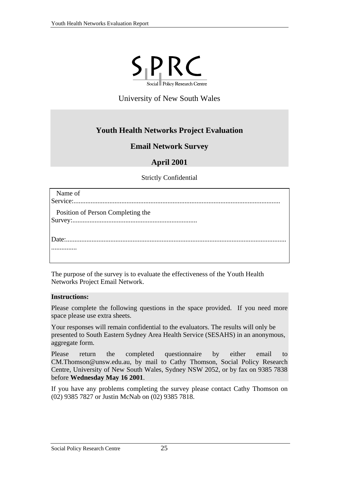

University of New South Wales

## **Youth Health Networks Project Evaluation**

#### **Email Network Survey**

## **April 2001**

Strictly Confidential

| Name of                                  |
|------------------------------------------|
| <b>Position of Person Completing the</b> |
|                                          |

The purpose of the survey is to evaluate the effectiveness of the Youth Health Networks Project Email Network.

#### **Instructions:**

Please complete the following questions in the space provided. If you need more space please use extra sheets.

Your responses will remain confidential to the evaluators. The results will only be presented to South Eastern Sydney Area Health Service (SESAHS) in an anonymous, aggregate form.

Please return the completed questionnaire by either email to [CM.Thomson@unsw.edu.au](mailto:CM.Thomson@unsw.eud.au), by mail to Cathy Thomson, Social Policy Research Centre, University of New South Wales, Sydney NSW 2052, or by fax on 9385 7838 before **Wednesday May 16 2001**.

If you have any problems completing the survey please contact Cathy Thomson on (02) 9385 7827 or Justin McNab on (02) 9385 7818.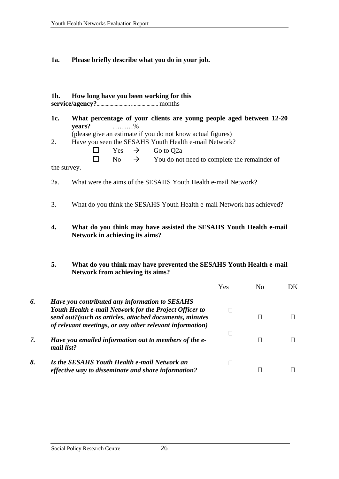**1a. Please briefly describe what you do in your job.** 

#### **1b. How long have you been working for this service/agency?**.........................…................... months

- **1c. What percentage of your clients are young people aged between 12-20 years?** ………% (please give an estimate if you do not know actual figures)
	-
- 2. Have you seen the SESAHS Youth Health e-mail Network?
	- $\Box$  Yes  $\rightarrow$  Go to O2a

 $\Box$  No  $\rightarrow$  You do not need to complete the remainder of

the survey.

- 2a. What were the aims of the SESAHS Youth Health e-mail Network?
- 3. What do you think the SESAHS Youth Health e-mail Network has achieved?
- **4. What do you think may have assisted the SESAHS Youth Health e-mail Network in achieving its aims?**
- **5. What do you think may have prevented the SESAHS Youth Health e-mail Network from achieving its aims?**

|    |                                                                                                                                                                                                                                 | Yes | Nο | DK. |
|----|---------------------------------------------------------------------------------------------------------------------------------------------------------------------------------------------------------------------------------|-----|----|-----|
| 6. | Have you contributed any information to SESAHS<br>Youth Health e-mail Network for the Project Officer to<br>send out?(such as articles, attached documents, minutes<br>of relevant meetings, or any other relevant information) |     |    |     |
| 7. | Have you emailed information out to members of the e-<br>mail list?                                                                                                                                                             |     |    |     |
| 8. | Is the SESAHS Youth Health e-mail Network an<br>effective way to disseminate and share information?                                                                                                                             |     |    |     |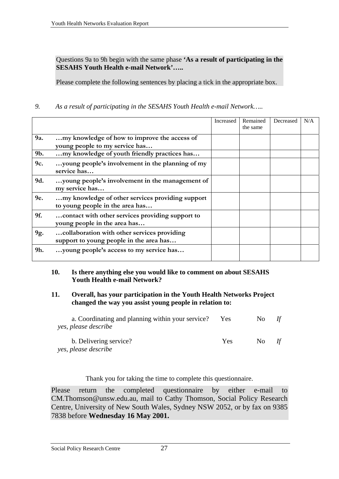Questions 9a to 9h begin with the same phase **'As a result of participating in the SESAHS Youth Health e-mail Network'…..** 

Please complete the following sentences by placing a tick in the appropriate box.

*9. As a result of participating in the SESAHS Youth Health e-mail Network…..* 

|     |                                                                                        | Increased | Remained<br>the same | Decreased | N/A |
|-----|----------------------------------------------------------------------------------------|-----------|----------------------|-----------|-----|
| 9a. | my knowledge of how to improve the access of<br>young people to my service has         |           |                      |           |     |
| 9b. | my knowledge of youth friendly practices has                                           |           |                      |           |     |
| 9c. | young people's involvement in the planning of my<br>service has                        |           |                      |           |     |
| 9d. | young people's involvement in the management of<br>my service has                      |           |                      |           |     |
| 9e. | my knowledge of other services providing support<br>to young people in the area has    |           |                      |           |     |
| 9f. | contact with other services providing support to<br>young people in the area has       |           |                      |           |     |
| 9g. | collaboration with other services providing<br>support to young people in the area has |           |                      |           |     |
| 9h. | young people's access to my service has                                                |           |                      |           |     |

#### **10. Is there anything else you would like to comment on about SESAHS Youth Health e-mail Network?**

#### **11. Overall, has your participation in the Youth Health Networks Project changed the way you assist young people in relation to:**

| a. Coordinating and planning within your service?<br>yes, please describe | Yes        | N <sub>0</sub> |    |
|---------------------------------------------------------------------------|------------|----------------|----|
| b. Delivering service?<br>yes, please describe                            | <b>Yes</b> | No.            | If |

Thank you for taking the time to complete this questionnaire.

Please return the completed questionnaire by either e-mail to [CM.Thomson@unsw.edu.au,](mailto:CM.Thomson@unsw.eud.au) mail to Cathy Thomson, Social Policy Research Centre, University of New South Wales, Sydney NSW 2052, or by fax on 9385 7838 before **Wednesday 16 May 2001.**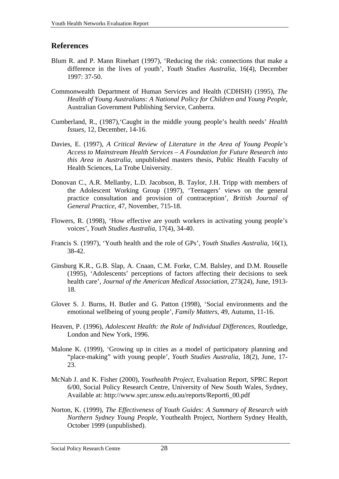#### <span id="page-37-0"></span>**References**

- Blum R. and P. Mann Rinehart (1997), 'Reducing the risk: connections that make a difference in the lives of youth', *Youth Studies Australia*, 16(4), December 1997: 37-50.
- Commonwealth Department of Human Services and Health (CDHSH) (1995), *The Health of Young Australians: A National Policy for Children and Young People*, Australian Government Publishing Service, Canberra.
- Cumberland, R., (1987),'Caught in the middle young people's health needs' *Health Issues*, 12, December, 14-16.
- Davies, E. (1997), *A Critical Review of Literature in the Area of Young People's Access to Mainstream Health Services – A Foundation for Future Research into this Area in Australia*, unpublished masters thesis, Public Health Faculty of Health Sciences, La Trobe University.
- Donovan C., A.R. Mellanby, L.D. Jacobson, B. Taylor, J.H. Tripp with members of the Adolescent Working Group (1997), 'Teenagers' views on the general practice consultation and provision of contraception', *British Journal of General Practice*, 47, November, 715-18.
- Flowers, R. (1998), 'How effective are youth workers in activating young people's voices', *Youth Studies Australia*, 17(4), 34-40.
- Francis S. (1997), 'Youth health and the role of GPs', *Youth Studies Australia*, 16(1), 38-42.
- Ginsburg K.R., G.B. Slap, A. Cnaan, C.M. Forke, C.M. Balsley, and D.M. Rouselle (1995), 'Adolescents' perceptions of factors affecting their decisions to seek health care', *Journal of the American Medical Association*, 273(24), June, 1913- 18.
- Glover S. J. Burns, H. Butler and G. Patton (1998), 'Social environments and the emotional wellbeing of young people', *Family Matters*, 49, Autumn, 11-16.
- Heaven, P. (1996), *Adolescent Health: the Role of Individual Differences*, Routledge, London and New York, 1996.
- Malone K. (1999), 'Growing up in cities as a model of participatory planning and "place-making" with young people', *Youth Studies Australia*, 18(2), June, 17- 23.
- McNab J. and K. Fisher (2000), *Youthealth Project*, Evaluation Report, SPRC Report 6/00, Social Policy Research Centre, University of New South Wales, Sydney, Available at: http://www.sprc.unsw.edu.au/reports/Report6\_00.pdf
- Norton, K. (1999), *The Effectiveness of Youth Guides: A Summary of Research with Northern Sydney Young People*, Youthealth Project, Northern Sydney Health, October 1999 (unpublished).